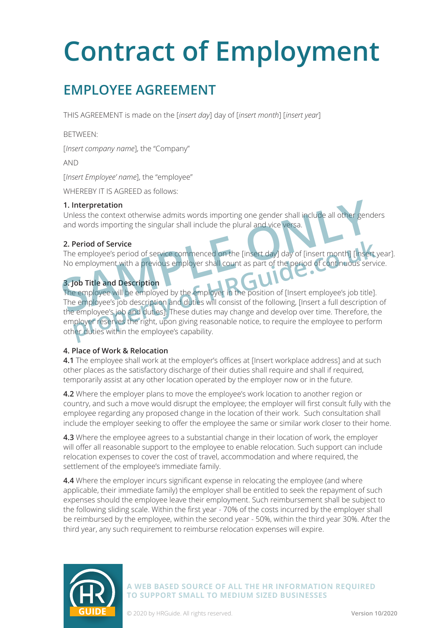## **EMPLOYEE AGREEMENT**

THIS AGREEMENT is made on the [*insert day*] day of [*insert month*] [*insert year*]

BETWEEN:

[*Insert company name*], the "Company"

AND

[*Insert Employee' name*], the "employee"

WHEREBY IT IS AGREED as follows:

### **1. Interpretation**

Unless the context otherwise admits words importing one gender shall include all other genders and words importing the singular shall include the plural and vice versa.

### **2. Period of Service**

The employee's period of service commenced on the [insert day] day of [insert month] [insert year]. No employment with a previous employer shall count as part of the period of continuous service.

### **3. Job Title and Description**

The employee will be employed by the employer in the position of [Insert employee's job title]. The employee's job description and duties will consist of the following, [Insert a full description of the employee's job and duties]. These duties may change and develop over time. Therefore, the employer reserves the right, upon giving reasonable notice, to require the employee to perform other duties within the employee's capability. **1. Interpretation**<br>
Unless the context otherwise admits words importing one gender shall include all other genes<br>
and words importing the singular shall include the plural and vice versa.<br> **2. Period of Service**<br>
The empl Period of Service<br>
e employee's period of service commenced on the [insert day] day of [insert month] [insert<br>
employment with a previous employer shall count as part of the period of continuous serv<br> **pob Title and Descri** 

### **4. Place of Work & Relocation**

**4.1** The employee shall work at the employer's offices at [Insert workplace address] and at such other places as the satisfactory discharge of their duties shall require and shall if required, temporarily assist at any other location operated by the employer now or in the future.

**4.2** Where the employer plans to move the employee's work location to another region or country, and such a move would disrupt the employee; the employer will first consult fully with the employee regarding any proposed change in the location of their work. Such consultation shall include the employer seeking to offer the employee the same or similar work closer to their home.

**4.3** Where the employee agrees to a substantial change in their location of work, the employer will offer all reasonable support to the employee to enable relocation. Such support can include relocation expenses to cover the cost of travel, accommodation and where required, the settlement of the employee's immediate family.

**4.4** Where the employer incurs significant expense in relocating the employee (and where applicable, their immediate family) the employer shall be entitled to seek the repayment of such expenses should the employee leave their employment. Such reimbursement shall be subject to the following sliding scale. Within the first year - 70% of the costs incurred by the employer shall be reimbursed by the employee, within the second year - 50%, within the third year 30%. After the third year, any such requirement to reimburse relocation expenses will expire.

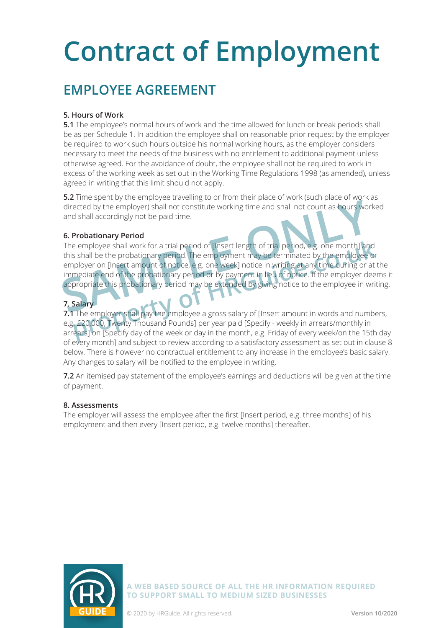## **EMPLOYEE AGREEMENT**

### **5. Hours of Work**

**5.1** The employee's normal hours of work and the time allowed for lunch or break periods shall be as per Schedule 1. In addition the employee shall on reasonable prior request by the employer be required to work such hours outside his normal working hours, as the employer considers necessary to meet the needs of the business with no entitlement to additional payment unless otherwise agreed. For the avoidance of doubt, the employee shall not be required to work in excess of the working week as set out in the Working Time Regulations 1998 (as amended), unless agreed in writing that this limit should not apply.

**5.2** Time spent by the employee travelling to or from their place of work (such place of work as directed by the employer) shall not constitute working time and shall not count as hours worked and shall accordingly not be paid time.

### **6. Probationary Period**

The employee shall work for a trial period of [Insert length of trial period, e.g. one month] and this shall be the probationary period. The employment may be terminated by the employee or employer on [Insert amount of notice, e.g. one week] notice in writing at any time during or at the immediate end of the probationary period or by payment in lieu of notice. If the employer deems it appropriate this probationary period may be extended by giving notice to the employee in writing. directed by the employer) shall not constitute working time and shall not count as hours wore and shall accordingly not be paid time.<br> **6. Probationary Period**<br>
The employee shall work for a trial period of [Insert length e employee shall work for a trial period of [Insert length of trial period, e.g. one month] and<br>
s shall be the probationary period. The employment may be terminated by the employee or<br>
ployer on [Insert amount of notice,

### **7. Salary**

**7.1** The employer shall pay the employee a gross salary of [Insert amount in words and numbers, e.g. £20,000, Twenty Thousand Pounds] per year paid [Specify - weekly in arrears/monthly in arrears] on [Specify day of the week or day in the month, e.g. Friday of every week/on the 15th day of every month] and subject to review according to a satisfactory assessment as set out in clause 8 below. There is however no contractual entitlement to any increase in the employee's basic salary. Any changes to salary will be notified to the employee in writing.

**7.2** An itemised pay statement of the employee's earnings and deductions will be given at the time of payment.

### **8. Assessments**

The employer will assess the employee after the first [Insert period, e.g. three months] of his employment and then every [Insert period, e.g. twelve months] thereafter.

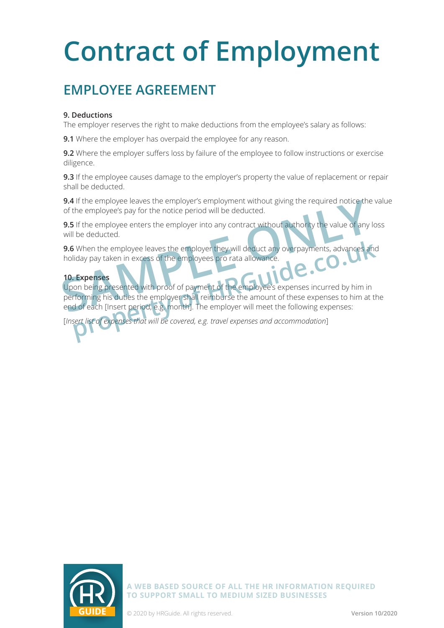## **EMPLOYEE AGREEMENT**

### **9. Deductions**

The employer reserves the right to make deductions from the employee's salary as follows:

**9.1** Where the employer has overpaid the employee for any reason.

**9.2** Where the employer suffers loss by failure of the employee to follow instructions or exercise diligence.

**9.3** If the employee causes damage to the employer's property the value of replacement or repair shall be deducted.

**9.4** If the employee leaves the employer's employment without giving the required notice the value of the employee's pay for the notice period will be deducted.

**9.5** If the employee enters the employer into any contract without authority the value of any loss will be deducted.

**9.6** When the employee leaves the employer they will deduct any overpayments, advances and holiday pay taken in excess of the employees pro rata allowance.

### **10. Expenses**

Upon being presented with proof of payment of the employee's expenses incurred by him in performing his duties the employer shall reimburse the amount of these expenses to him at the end of each [Insert period, e.g. month]. The employer will meet the following expenses: **SA IT the employee leaves the employers employment without giving the required notice the of the employee's pay for the notice period will be deducted.<br>
<b>9.5** If the employee enters the employer into any contract without **property** will deduct any overpayments, advances and<br>iday pay taken in excess of the employees pro rata allowance.<br>**Expenses**<br>**property of HRGUIDE 1999** and allows the employee's expenses incurred by him in<br>forming his du

[*Insert list of expenses that will be covered, e.g. travel expenses and accommodation*]

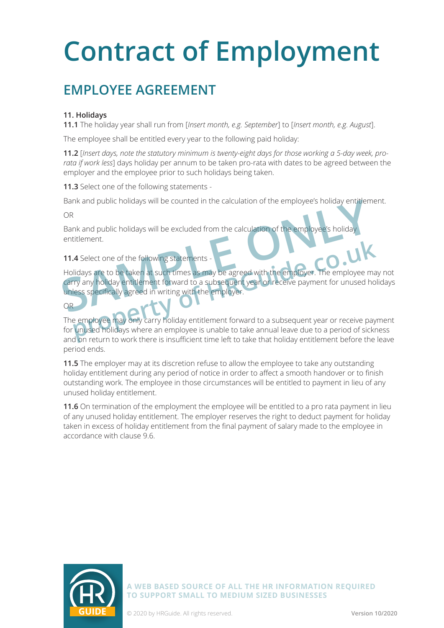## **EMPLOYEE AGREEMENT**

### **11. Holidays**

**11.1** The holiday year shall run from [*Insert month, e.g. September*] to [*Insert month, e.g. August*].

The employee shall be entitled every year to the following paid holiday:

**11.2** [*Insert days, note the statutory minimum is twenty-eight days for those working a 5-day week, prorata if work less*] days holiday per annum to be taken pro-rata with dates to be agreed between the employer and the employee prior to such holidays being taken.

**11.3** Select one of the following statements -

Bank and public holidays will be counted in the calculation of the employee's holiday entitlement.

OR

OR

Bank and public holidays will be excluded from the calculation of the employee's holida entitlement.

### 11.4 Select one of the following statements

Holidays are to be taken at such times as may be agreed with the employer. The employee may not carry any holiday entitlement forward to a subsequent year or receive payment for unused holidays unless specifically agreed in writing with the employer. Bank and public nollaays will be counted in the calculation of the employee's holiday<br>
OR<br>
Bank and public holidays will be excluded from the calculation of the employee's holiday<br>
entitlement.<br> **11.4** Select one of the fo **property and Select one of the following statements**<br> **property any holiday entitlement forward to a subsequent year or receive payment for unused holistically agreed in writing with the employer.**<br> **property any holiday** 

The employee may only carry holiday entitlement forward to a subsequent year or receive payment for unused holidays where an employee is unable to take annual leave due to a period of sickness and on return to work there is insufficient time left to take that holiday entitlement before the leave period ends.

**11.5** The employer may at its discretion refuse to allow the employee to take any outstanding holiday entitlement during any period of notice in order to affect a smooth handover or to finish outstanding work. The employee in those circumstances will be entitled to payment in lieu of any unused holiday entitlement.

**11.6** On termination of the employment the employee will be entitled to a pro rata payment in lieu of any unused holiday entitlement. The employer reserves the right to deduct payment for holiday taken in excess of holiday entitlement from the final payment of salary made to the employee in accordance with clause 9.6.

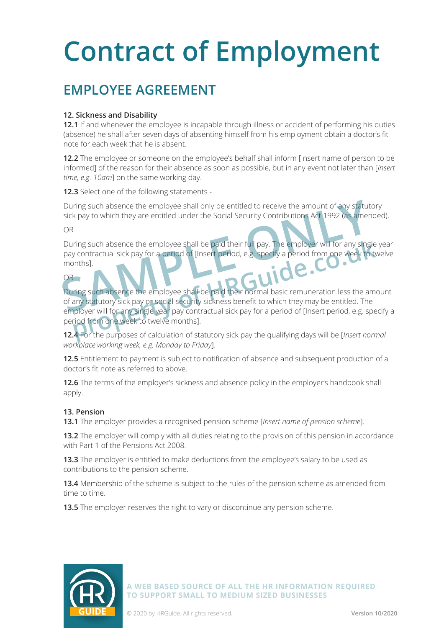## **EMPLOYEE AGREEMENT**

### **12. Sickness and Disability**

**12.1** If and whenever the employee is incapable through illness or accident of performing his duties (absence) he shall after seven days of absenting himself from his employment obtain a doctor's fit note for each week that he is absent.

**12.2** The employee or someone on the employee's behalf shall inform [Insert name of person to be informed] of the reason for their absence as soon as possible, but in any event not later than [*Insert time, e.g. 10am*] on the same working day.

**12.3** Select one of the following statements -

During such absence the employee shall only be entitled to receive the amount of any statutory sick pay to which they are entitled under the Social Security Contributions Act 1992 (as amended).

OR

During such absence the employee shall be paid their full pay. The employer will for any single year pay contractual sick pay for a period of [Insert period, e.g. specify a period from one week to twelve months]. During such absence the employee shall only be entitled to receive the amount of any statut<br>sick pay to which they are entitled under the Social Security Contributions Act 1992 (as amer<br>OR<br>During such absence the employee

### OR

During such absence the employee shall be paid their normal basic remuneration less the amount of any statutory sick pay or social security sickness benefit to which they may be entitled. The employer will for any single year pay contractual sick pay for a period of [Insert period, e.g. specify a period from one week to twelve months]. ring such absence the employee shall be paid their full pay. The employer will for any single<br>y contractual sick pay for a period of [Insert period, e.g. specify a period from one week to to<br>pnths].<br>Tring such absence the

**12.4** For the purposes of calculation of statutory sick pay the qualifying days will be [*Insert normal workplace working week, e.g. Monday to Friday*].

**12.5** Entitlement to payment is subject to notification of absence and subsequent production of a doctor's fit note as referred to above.

**12.6** The terms of the employer's sickness and absence policy in the employer's handbook shall apply.

### **13. Pension**

**13.1** The employer provides a recognised pension scheme [*Insert name of pension scheme*].

13.2 The employer will comply with all duties relating to the provision of this pension in accordance with Part 1 of the Pensions Act 2008.

**13.3** The employer is entitled to make deductions from the employee's salary to be used as contributions to the pension scheme.

**13.4** Membership of the scheme is subject to the rules of the pension scheme as amended from time to time.

**13.5** The employer reserves the right to vary or discontinue any pension scheme.

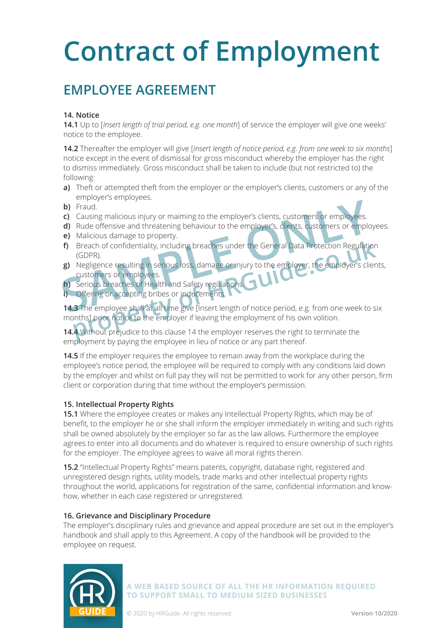## **EMPLOYEE AGREEMENT**

### **14. Notice**

**14.1** Up to [*Insert length of trial period, e.g. one month*] of service the employer will give one weeks' notice to the employee.

**14.2** Thereafter the employer will give [*Insert length of notice period, e.g. from one week to six months*] notice except in the event of dismissal for gross misconduct whereby the employer has the right to dismiss immediately. Gross misconduct shall be taken to include (but not restricted to) the following:

- **a)** Theft or attempted theft from the employer or the employer's clients, customers or any of the employer's employees.
- b) Fraud.
- **c)** Causing malicious injury or maiming to the employer's clients, customers or employees.
- **d)** Rude offensive and threatening behaviour to the employer's, clients, customers or employees.
- **e)** Malicious damage to property.
- **f)** Breach of confidentiality, including breaches under the General Data Protection Regulation (GDPR).
- **g)** Negligence resulting in serious loss, damage or injury to the employer, the employer's clients, customers or employees. **b**) Fraud.<br> **c**) Causing malicious injury or maiming to the employer's clients, customers or employees.<br> **d**) Rude offensive and threatening behaviour to the employer's, dients, customers or employees.<br> **e**) Malicious dam
- **h)** Serious breaches of Health and Safety regulations.
- **i)** Offering or accepting bribes or inducements.

**14.3** The employee shall at all time give [Insert length of notice period, e.g. from one week to six months] prior notice to the employer if leaving the employment of his own volition. Breach of confidentiality, including breaches under the General Data Protection Regulation<br>
(GDPR).<br>
Negligence resulting in serious loss, damage or injury to the employer, the employer's client<br>
customers or employees.<br>
S

**14.4** Without prejudice to this clause 14 the employer reserves the right to terminate the employment by paying the employee in lieu of notice or any part thereof.

**14.5** If the employer requires the employee to remain away from the workplace during the employee's notice period, the employee will be required to comply with any conditions laid down by the employer and whilst on full pay they will not be permitted to work for any other person, firm client or corporation during that time without the employer's permission.

### **15. Intellectual Property Rights**

**15.1** Where the employee creates or makes any Intellectual Property Rights, which may be of benefit, to the employer he or she shall inform the employer immediately in writing and such rights shall be owned absolutely by the employer so far as the law allows. Furthermore the employee agrees to enter into all documents and do whatever is required to ensure ownership of such rights for the employer. The employee agrees to waive all moral rights therein.

**15.2** "Intellectual Property Rights" means patents, copyright, database right, registered and unregistered design rights, utility models, trade marks and other intellectual property rights throughout the world, applications for registration of the same, confidential information and knowhow, whether in each case registered or unregistered.

#### **16. Grievance and Disciplinary Procedure**

The employer's disciplinary rules and grievance and appeal procedure are set out in the employer's handbook and shall apply to this Agreement. A copy of the handbook will be provided to the employee on request.

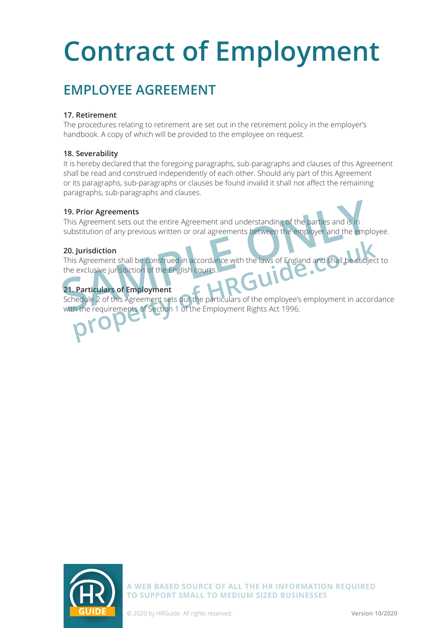## **EMPLOYEE AGREEMENT**

### **17. Retirement**

The procedures relating to retirement are set out in the retirement policy in the employer's handbook. A copy of which will be provided to the employee on request.

### **18. Severability**

It is hereby declared that the foregoing paragraphs, sub-paragraphs and clauses of this Agreement shall be read and construed independently of each other. Should any part of this Agreement or its paragraphs, sub-paragraphs or clauses be found invalid it shall not affect the remaining paragraphs, sub-paragraphs and clauses.

### **19. Prior Agreements**

This Agreement sets out the entire Agreement and understanding of the parties and is in substitution of any previous written or oral agreements between the employer and the employee.

### **20. Jurisdiction**

This Agreement shall be construed in accordance with the laws of England and shall be the exclusive jurisdiction of the English courts. **19. Prior Agreements**<br>
This Agreement sets out the entire Agreement and understanding of the parties and is in<br>
substitution of any previous written or oral agreements between the employer and the empl<br> **20. Jurisdiction properties and Shall be construed in accordance with the laws of England and Shall be subjected in exclusive jurisdiction of the English courts.**<br> **Particulars of Employment**<br> **Particulars of Employment**<br> **Particulars of** 

### **21. Particulars of Employment**

Schedule 2 of this Agreement sets out the particulars of the employee's employment in accordance with the requirements of Section 1 of the Employment Rights Act 1996.

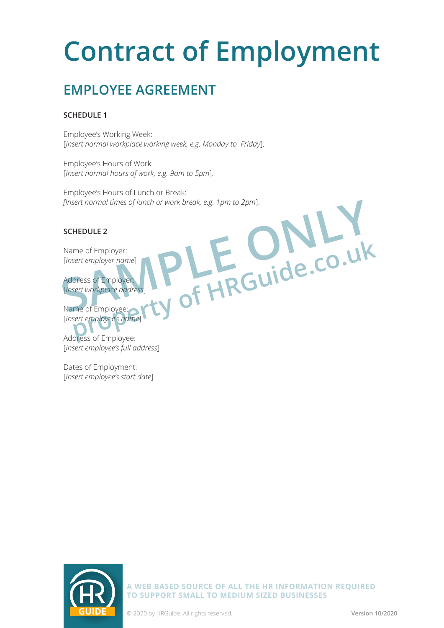## **EMPLOYEE AGREEMENT**

### **SCHEDULE 1**

Employee's Working Week: [*Insert normal workplace working week, e.g. Monday to Friday*].

Employee's Hours of Work: [*Insert normal hours of work, e.g. 9am to 5pm*].

Employee's Hours of Lunch or Break: *[Insert normal times of lunch or work break, e.g. 1pm to 2pm*].

### **SCHEDULE 2**

Name of Employer: [*Insert employer name*]

Address of Employer: [*Insert workplace address*] Thesert normal times of lunch or work break, e.g. 1pm to 2pm].<br>
SCHEDULE 2<br>
Name of Employer:<br>
Thesert workplace address<br>
Thesert workplace address<br>
Name of Employee:<br>
Name of Employee:<br>
The CUIDE.CO.UK

Name of Employee: [*Insert employee's name*] Free of Employer:<br>
Rent employer name]<br> **property of HRGuide.co.uk**<br> **property of HRGuide.co.uk**<br> **property of HRGuide.co.uk**<br> **property of HRGuide.co.uk**<br> **property of HRGuide.co.uk** 

Address of Employee: [*Insert employee's full address*]

Dates of Employment: [*Insert employee's start date*]



**A WEB BASED SOURCE OF ALL THE HR INFORMATION REQUIRED TO SUPPORT SMALL TO MEDIUM SIZED BUSINESSES**

**GUIDE** © 2020 by HRGuide. All rights reserved. **Version 10/2020**